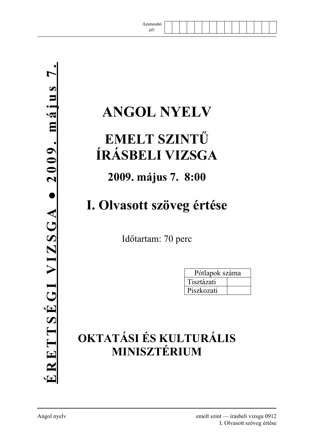| $A$ zonos $\mathfrak{g}_{\mathfrak{t}}$<br><i>L'ILOILOG</i><br>1 t v<br>-- |
|----------------------------------------------------------------------------|
|----------------------------------------------------------------------------|

# **ANGOL NYELV**

# **EMELT SZINTŰ ÍRÁSBELI VIZSGA**

## **2009. május 7. 8:00**

# **I. Olvasott szöveg értése**

Időtartam: 70 perc

| Pótlapok száma |
|----------------|
| Tisztázati     |
| Piszkozati     |

## **OKTATÁSI ÉS KULTURÁLIS MINISZTÉRIUM**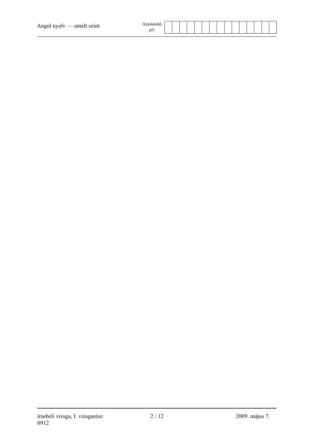| onosito<br>emelt szint<br>Angol nyelv —<br><sub>1el</sub> |  |  |  |
|-----------------------------------------------------------|--|--|--|
|-----------------------------------------------------------|--|--|--|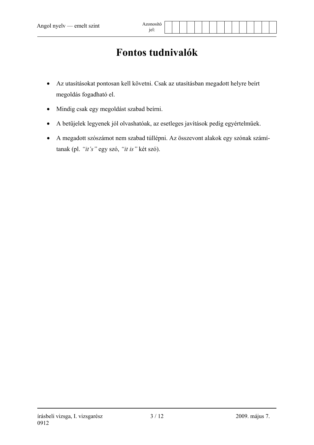### **Fontos tudnivalók**

- Az utasításokat pontosan kell követni. Csak az utasításban megadott helyre beírt megoldás fogadható el.
- Mindig csak egy megoldást szabad beírni.
- A betűjelek legyenek jól olvashatóak, az esetleges javítások pedig egyértelműek.
- A megadott szószámot nem szabad túllépni. Az összevont alakok egy szónak számítanak (pl. *"it's"* egy szó, *"it is"* két szó).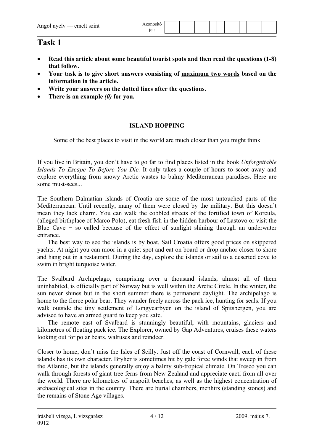| Azonosító     |  |  |  |  |  |  |  |  |
|---------------|--|--|--|--|--|--|--|--|
| $\sim$<br>vı. |  |  |  |  |  |  |  |  |
|               |  |  |  |  |  |  |  |  |

- **Read this article about some beautiful tourist spots and then read the questions (1-8) that follow.**
- **Your task is to give short answers consisting of maximum two words based on the information in the article.**
- **Write your answers on the dotted lines after the questions.**
- **There is an example** *(0)* **for you.**

#### **ISLAND HOPPING**

Some of the best places to visit in the world are much closer than you might think

If you live in Britain, you don't have to go far to find places listed in the book *Unforgettable Islands To Escape To Before You Die.* It only takes a couple of hours to scoot away and explore everything from snowy Arctic wastes to balmy Mediterranean paradises. Here are some must-sees.

The Southern Dalmatian islands of Croatia are some of the most untouched parts of the Mediterranean. Until recently, many of them were closed by the military. But this doesn't mean they lack charm. You can walk the cobbled streets of the fortified town of Korcula, (alleged birthplace of Marco Polo), eat fresh fish in the hidden harbour of Lastovo or visit the Blue Cave − so called because of the effect of sunlight shining through an underwater entrance.

The best way to see the islands is by boat. Sail Croatia offers good prices on skippered yachts. At night you can moor in a quiet spot and eat on board or drop anchor closer to shore and hang out in a restaurant. During the day, explore the islands or sail to a deserted cove to swim in bright turquoise water.

The Svalbard Archipelago, comprising over a thousand islands, almost all of them uninhabited, is officially part of Norway but is well within the Arctic Circle. In the winter, the sun never shines but in the short summer there is permanent daylight. The archipelago is home to the fierce polar bear. They wander freely across the pack ice, hunting for seals. If you walk outside the tiny settlement of Longyearbyen on the island of Spitsbergen, you are advised to have an armed guard to keep you safe.

The remote east of Svalbard is stunningly beautiful, with mountains, glaciers and kilometres of floating pack ice. The Explorer, owned by Gap Adventures, cruises these waters looking out for polar bears, walruses and reindeer.

Closer to home, don't miss the Isles of Scilly. Just off the coast of Cornwall, each of these islands has its own character. Bryher is sometimes hit by gale force winds that sweep in from the Atlantic, but the islands generally enjoy a balmy sub-tropical climate. On Tresco you can walk through forests of giant tree ferns from New Zealand and appreciate cacti from all over the world. There are kilometres of unspoilt beaches, as well as the highest concentration of archaeological sites in the country. There are burial chambers, menhirs (standing stones) and the remains of Stone Age villages.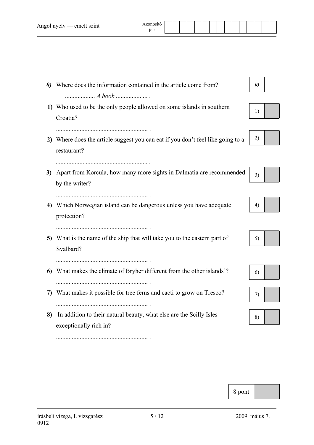|                       | Angol nyelv — emelt szint                                                                      | Azonosító<br>jel: |  |  |  |  |  |                       |  |
|-----------------------|------------------------------------------------------------------------------------------------|-------------------|--|--|--|--|--|-----------------------|--|
|                       |                                                                                                |                   |  |  |  |  |  |                       |  |
| $\boldsymbol{\theta}$ | Where does the information contained in the article come from?                                 |                   |  |  |  |  |  | $\boldsymbol{\theta}$ |  |
|                       | 1) Who used to be the only people allowed on some islands in southern<br>Croatia?              |                   |  |  |  |  |  | 1)                    |  |
|                       | 2) Where does the article suggest you can eat if you don't feel like going to a<br>restaurant? |                   |  |  |  |  |  | 2)                    |  |
| 3)                    | Apart from Korcula, how many more sights in Dalmatia are recommended<br>by the writer?         |                   |  |  |  |  |  | 3)                    |  |
| 4)                    | Which Norwegian island can be dangerous unless you have adequate<br>protection?                |                   |  |  |  |  |  | 4)                    |  |
| 5)                    | What is the name of the ship that will take you to the eastern part of<br>Svalbard?            |                   |  |  |  |  |  | 5)                    |  |
| 6)                    | What makes the climate of Bryher different from the other islands'?                            |                   |  |  |  |  |  | 6)                    |  |
| 7)                    | What makes it possible for tree ferns and cacti to grow on Tresco?                             |                   |  |  |  |  |  | 7)                    |  |
| 8)                    | In addition to their natural beauty, what else are the Scilly Isles<br>exceptionally rich in?  |                   |  |  |  |  |  | 8)                    |  |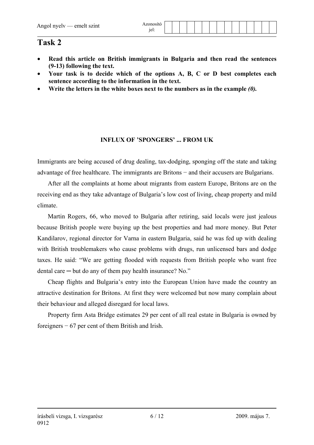| Angol nyelv — emelt szint | zonosito<br>1e)<br>$\ddotsc$ |  |  |  |  |  |  |  |  |  |  |  |  |  |  |
|---------------------------|------------------------------|--|--|--|--|--|--|--|--|--|--|--|--|--|--|
|---------------------------|------------------------------|--|--|--|--|--|--|--|--|--|--|--|--|--|--|

- **Read this article on British immigrants in Bulgaria and then read the sentences (9-13) following the text.**
- **Your task is to decide which of the options A, B, C or D best completes each sentence according to the information in the text.**
- **Write the letters in the white boxes next to the numbers as in the example** *(0).*

#### **INFLUX OF 'SPONGERS' ... FROM UK**

Immigrants are being accused of drug dealing, tax-dodging, sponging off the state and taking advantage of free healthcare. The immigrants are Britons − and their accusers are Bulgarians.

After all the complaints at home about migrants from eastern Europe, Britons are on the receiving end as they take advantage of Bulgaria's low cost of living, cheap property and mild climate.

Martin Rogers, 66, who moved to Bulgaria after retiring, said locals were just jealous because British people were buying up the best properties and had more money. But Peter Kandilarov, regional director for Varna in eastern Bulgaria, said he was fed up with dealing with British troublemakers who cause problems with drugs, run unlicensed bars and dodge taxes. He said: "We are getting flooded with requests from British people who want free dental care — but do any of them pay health insurance? No."

Cheap flights and Bulgaria's entry into the European Union have made the country an attractive destination for Britons. At first they were welcomed but now many complain about their behaviour and alleged disregard for local laws.

Property firm Asta Bridge estimates 29 per cent of all real estate in Bulgaria is owned by foreigners − 67 per cent of them British and Irish.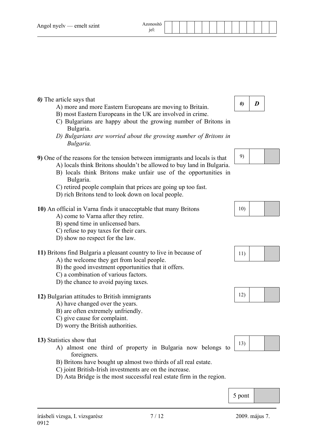#### *0)* The article says that

- A) more and more Eastern Europeans are moving to Britain.
- B) most Eastern Europeans in the UK are involved in crime.
- C) Bulgarians are happy about the growing number of Britons in Bulgaria.

jel:

- *D) Bulgarians are worried about the growing number of Britons in Bulgaria.*
- **9)** One of the reasons for the tension between immigrants and locals is that
	- A) locals think Britons shouldn't be allowed to buy land in Bulgaria.
	- B) locals think Britons make unfair use of the opportunities in Bulgaria.
	- C) retired people complain that prices are going up too fast.
	- D) rich Britons tend to look down on local people.

#### **10)** An official in Varna finds it unacceptable that many Britons

- A) come to Varna after they retire.
- B) spend time in unlicensed bars.
- C) refuse to pay taxes for their cars.
- D) show no respect for the law.

#### **11)** Britons find Bulgaria a pleasant country to live in because of

- A) the welcome they get from local people.
- B) the good investment opportunities that it offers.
- C) a combination of various factors.
- D) the chance to avoid paying taxes.
- **12)** Bulgarian attitudes to British immigrants
	- A) have changed over the years.
	- B) are often extremely unfriendly.
	- C) give cause for complaint.
	- D) worry the British authorities.
- **13)** Statistics show that
	- A) almost one third of property in Bulgaria now belongs to foreigners.
	- B) Britons have bought up almost two thirds of all real estate.
	- C) joint British-Irish investments are on the increase.
	- D) Asta Bridge is the most successful real estate firm in the region.

9)









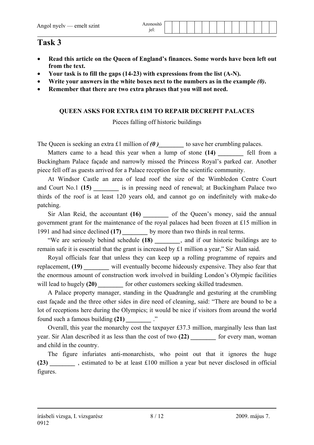| Azonosító |  |  |  |  |  |  |  |  |
|-----------|--|--|--|--|--|--|--|--|
|           |  |  |  |  |  |  |  |  |
| vı.       |  |  |  |  |  |  |  |  |
|           |  |  |  |  |  |  |  |  |

- **Read this article on the Queen of England's finances. Some words have been left out from the text.**
- **Your task is to fill the gaps (14-23) with expressions from the list (A-N).**
- **Write your answers in the white boxes next to the numbers as in the example** *(0)***.**
- **Remember that there are two extra phrases that you will not need.**

#### **QUEEN ASKS FOR EXTRA £1M TO REPAIR DECREPIT PALACES**

Pieces falling off historic buildings

The Queen is seeking an extra £1 million of *(0)* to save her crumbling palaces.

Matters came to a head this year when a lump of stone (14) *Learning learning learning learning* **<b>***learning learning learning* **<b>***learning learning learning* **<b>***learning learning learning* Buckingham Palace façade and narrowly missed the Princess Royal's parked car. Another piece fell off as guests arrived for a Palace reception for the scientific community.

At Windsor Castle an area of lead roof the size of the Wimbledon Centre Court and Court No.1 **(15)** *lackteria)* is in pressing need of renewal; at Buckingham Palace two thirds of the roof is at least 120 years old, and cannot go on indefinitely with make-do patching.

Sir Alan Reid, the accountant (16) *Let us a content* of the Queen's money, said the annual government grant for the maintenance of the royal palaces had been frozen at £15 million in 1991 and had since declined **(17)** *\_\_\_\_\_\_\_\_* by more than two thirds in real terms.

"We are seriously behind schedule **(18)** *\_\_\_\_\_\_\_\_*, and if our historic buildings are to remain safe it is essential that the grant is increased by £1 million a year," Sir Alan said.

Royal officials fear that unless they can keep up a rolling programme of repairs and replacement, **(19)** will eventually become hideously expensive. They also fear that the enormous amount of construction work involved in building London's Olympic facilities will lead to hugely (20) *\_\_\_\_\_\_\_* for other customers seeking skilled tradesmen.

A Palace property manager, standing in the Quadrangle and gesturing at the crumbling east façade and the three other sides in dire need of cleaning, said: "There are bound to be a lot of receptions here during the Olympics; it would be nice if visitors from around the world found such a famous building **(21)** *\_\_\_\_\_\_\_\_* ."

Overall, this year the monarchy cost the taxpayer £37.3 million, marginally less than last year. Sir Alan described it as less than the cost of two (22) for every man, woman and child in the country.

The figure infuriates anti-monarchists, who point out that it ignores the huge **(23)** *\_\_\_\_\_\_\_\_* , estimated to be at least £100 million a year but never disclosed in official figures.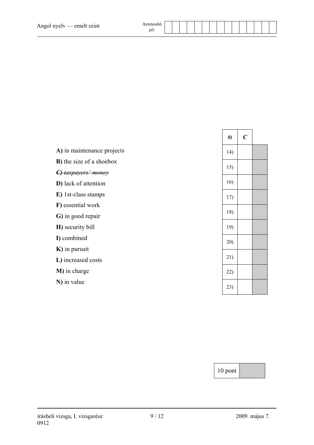

Г

|                                  | $\boldsymbol{\theta}$ | $\boldsymbol{C}$ |  |
|----------------------------------|-----------------------|------------------|--|
| A) in maintenance projects       | 14)                   |                  |  |
| <b>B</b> ) the size of a shoebox | 15)                   |                  |  |
| C) taxpayers' money              |                       |                  |  |
| <b>D</b> ) lack of attention     | 16)                   |                  |  |
| E) 1st-class stamps              | 17)                   |                  |  |
| F) essential work                |                       |                  |  |
| G) in good repair                | 18)                   |                  |  |
| H) security bill                 | 19)                   |                  |  |
| I) combined                      | 20)                   |                  |  |
| K) in pursuit                    |                       |                  |  |
| L) increased costs               | 21)                   |                  |  |
| M) in charge                     | 22)                   |                  |  |
| N) in value                      | 23)                   |                  |  |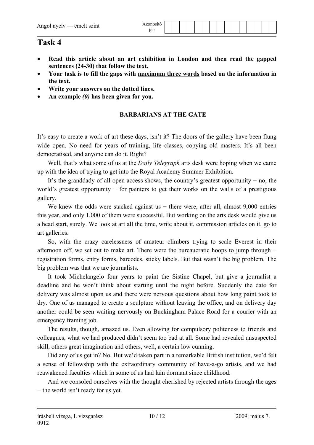| Azonosító                      |  |  |  |  |  |  |  |  |
|--------------------------------|--|--|--|--|--|--|--|--|
| - 4<br>1e <sub>1</sub><br>.v., |  |  |  |  |  |  |  |  |

- **Read this article about an art exhibition in London and then read the gapped sentences (24-30) that follow the text.**
- **Your task is to fill the gaps with maximum three words based on the information in the text.**
- **Write your answers on the dotted lines.**
- **An example** *(0)* **has been given for you.**

#### **BARBARIANS AT THE GATE**

It's easy to create a work of art these days, isn't it? The doors of the gallery have been flung wide open. No need for years of training, life classes, copying old masters. It's all been democratised, and anyone can do it. Right?

Well, that's what some of us at the *Daily Telegraph* arts desk were hoping when we came up with the idea of trying to get into the Royal Academy Summer Exhibition.

It's the granddady of all open access shows, the country's greatest opportunity − no, the world's greatest opportunity − for painters to get their works on the walls of a prestigious gallery.

We knew the odds were stacked against us – there were, after all, almost 9,000 entries this year, and only 1,000 of them were successful. But working on the arts desk would give us a head start, surely. We look at art all the time, write about it, commission articles on it, go to art galleries.

So, with the crazy carelessness of amateur climbers trying to scale Everest in their afternoon off, we set out to make art. There were the bureaucratic hoops to jump through − registration forms, entry forms, barcodes, sticky labels. But that wasn't the big problem. The big problem was that we are journalists.

It took Michelangelo four years to paint the Sistine Chapel, but give a journalist a deadline and he won't think about starting until the night before. Suddenly the date for delivery was almost upon us and there were nervous questions about how long paint took to dry. One of us managed to create a sculpture without leaving the office, and on delivery day another could be seen waiting nervously on Buckingham Palace Road for a courier with an emergency framing job.

The results, though, amazed us. Even allowing for compulsory politeness to friends and colleagues, what we had produced didn't seem too bad at all. Some had revealed unsuspected skill, others great imagination and others, well, a certain low cunning.

Did any of us get in? No. But we'd taken part in a remarkable British institution, we'd felt a sense of fellowship with the extraordinary community of have-a-go artists, and we had reawakened faculties which in some of us had lain dormant since childhood.

And we consoled ourselves with the thought cherished by rejected artists through the ages − the world isn't ready for us yet.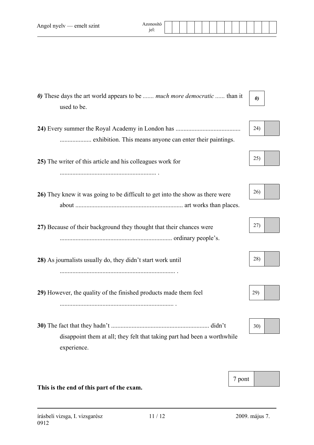| Angol nyelv — emelt szint                                                               | Azonosító<br>jel: |  |  |  |  |  |                       |  |
|-----------------------------------------------------------------------------------------|-------------------|--|--|--|--|--|-----------------------|--|
|                                                                                         |                   |  |  |  |  |  |                       |  |
|                                                                                         |                   |  |  |  |  |  |                       |  |
|                                                                                         |                   |  |  |  |  |  |                       |  |
| 0) These days the art world appears to be  much more democratic  than it<br>used to be. |                   |  |  |  |  |  | $\boldsymbol{\theta}$ |  |
|                                                                                         |                   |  |  |  |  |  | 24)                   |  |
| exhibition. This means anyone can enter their paintings.                                |                   |  |  |  |  |  |                       |  |
| 25) The writer of this article and his colleagues work for                              |                   |  |  |  |  |  | 25)                   |  |
|                                                                                         |                   |  |  |  |  |  |                       |  |
| 26) They knew it was going to be difficult to get into the show as there were           |                   |  |  |  |  |  | 26)                   |  |
|                                                                                         |                   |  |  |  |  |  |                       |  |
| 27) Because of their background they thought that their chances were                    |                   |  |  |  |  |  | 27)                   |  |
|                                                                                         |                   |  |  |  |  |  |                       |  |
| 28) As journalists usually do, they didn't start work until                             |                   |  |  |  |  |  | 28)                   |  |
|                                                                                         |                   |  |  |  |  |  |                       |  |
| 29) However, the quality of the finished products made them feel                        |                   |  |  |  |  |  | 29)                   |  |
|                                                                                         |                   |  |  |  |  |  |                       |  |
|                                                                                         |                   |  |  |  |  |  | 30)                   |  |
| disappoint them at all; they felt that taking part had been a worthwhile<br>experience. |                   |  |  |  |  |  |                       |  |

**This is the end of this part of the exam.**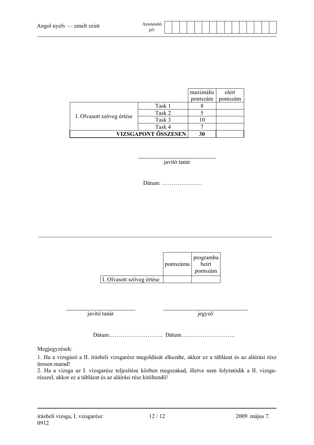

|                           |                     | maximális | elért    |
|---------------------------|---------------------|-----------|----------|
|                           |                     | pontszám  | pontszám |
|                           | Task 1              |           |          |
|                           | Task 2              |           |          |
| I. Olvasott szöveg értése | Task 3              |           |          |
|                           | Task 4              |           |          |
|                           | VIZSGAPONT ÖSSZESEN | 30        |          |

javító tanár

Dátum: …………………

|                           | pontszáma | programba<br>beirt<br>pontszám |
|---------------------------|-----------|--------------------------------|
| I. Olvasott szöveg értése |           |                                |

\_\_\_\_\_\_\_\_\_\_\_\_\_\_\_\_\_\_\_\_\_\_\_\_\_\_\_\_\_\_\_\_\_\_\_\_\_\_\_\_\_\_\_\_\_\_\_\_\_\_\_\_\_\_\_\_\_\_\_\_\_\_\_\_\_\_\_\_\_\_\_\_\_\_

javító tanár jegyző

Dátum………………………. Dátum……………………….

Megjegyzések:

1. Ha a vizsgázó a II. írásbeli vizsgarész megoldását elkezdte, akkor ez a táblázat és az aláírási rész üresen marad!

2. Ha a vizsga az I. vizsgarész teljesítése közben megszakad, illetve nem folytatódik a II. vizsgarésszel, akkor ez a táblázat és az aláírási rész kitöltendő!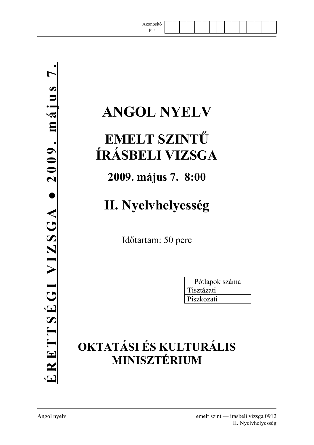| Azonosító<br>$\mathbf{A}$<br>$\mathbf{u}$ . |
|---------------------------------------------|
|---------------------------------------------|

# **ANGOL NYELV**

# **EMELT SZINTŰ ÍRÁSBELI VIZSGA**

## **2009. május 7. 8:00**

# **II. Nyelvhelyesség**

Időtartam: 50 perc

| Pótlapok száma |
|----------------|
| Tisztázati     |
| Piszkozati     |

## **OKTATÁSI ÉS KULTURÁLIS MINISZTÉRIUM**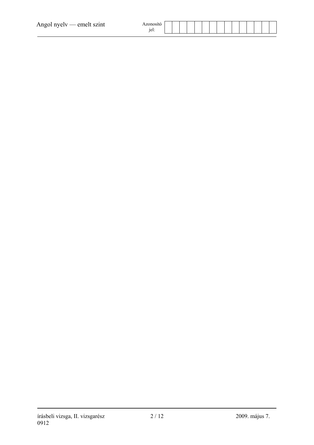| Angol nyelv — emelt szint | jel. |  |  |  |  |  |  |  |  |
|---------------------------|------|--|--|--|--|--|--|--|--|
|                           |      |  |  |  |  |  |  |  |  |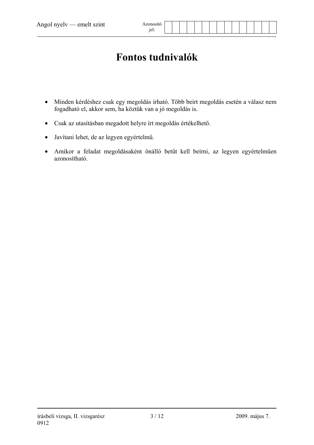### **Fontos tudnivalók**

- Minden kérdéshez csak egy megoldás írható. Több beírt megoldás esetén a válasz nem fogadható el, akkor sem, ha köztük van a jó megoldás is.
- Csak az utasításban megadott helyre írt megoldás értékelhető.
- Javítani lehet, de az legyen egyértelmű.
- Amikor a feladat megoldásaként önálló betűt kell beírni, az legyen egyértelműen azonosítható.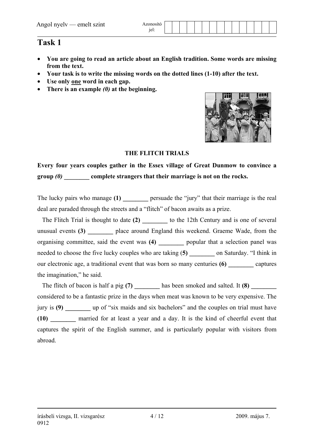| Azonosító |  |  |  |  |  |  |  |  |
|-----------|--|--|--|--|--|--|--|--|
| $\sim$    |  |  |  |  |  |  |  |  |
|           |  |  |  |  |  |  |  |  |

- **You are going to read an article about an English tradition. Some words are missing from the text.**
- **Your task is to write the missing words on the dotted lines (1-10) after the text.**
- **Use only one word in each gap.**
- **There is an example** *(0)* **at the beginning.**



#### **THE FLITCH TRIALS**

### **Every four years couples gather in the Essex village of Great Dunmow to convince a group** *(0)* **\_\_\_\_\_\_\_\_ complete strangers that their marriage is not on the rocks.**

The lucky pairs who manage (1) **are persuaded the "jury"** that their marriage is the real deal are paraded through the streets and a "flitch" of bacon awaits as a prize.

The Flitch Trial is thought to date (2) to the 12th Century and is one of several unusual events **(3) \_\_\_\_\_\_\_\_** place around England this weekend. Graeme Wade, from the organising committee, said the event was **(4) \_\_\_\_\_\_\_\_** popular that a selection panel was needed to choose the five lucky couples who are taking (5) on Saturday. "I think in our electronic age, a traditional event that was born so many centuries **(6)** captures the imagination," he said.

The flitch of bacon is half a pig **(7)** has been smoked and salted. It **(8)** considered to be a fantastic prize in the days when meat was known to be very expensive. The jury is (9) up of "six maids and six bachelors" and the couples on trial must have **(10) \_\_\_\_\_\_\_\_** married for at least a year and a day. It is the kind of cheerful event that captures the spirit of the English summer, and is particularly popular with visitors from abroad.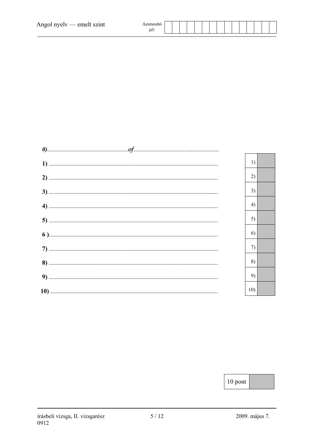| Angol nyelv — emelt szint | ا د ۱ |  |  |  |  |  |  |  |
|---------------------------|-------|--|--|--|--|--|--|--|
|                           | IVI   |  |  |  |  |  |  |  |

| 1)  |  |
|-----|--|
| 2)  |  |
| 3)  |  |
| 4)  |  |
| 5)  |  |
| 6)  |  |
| 7)  |  |
| 8)  |  |
| 9)  |  |
| 10) |  |
|     |  |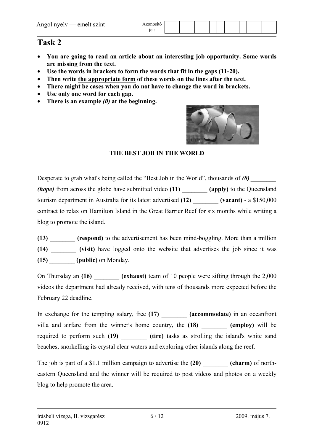| Azonosító     |  |  |  |  |  |  |  |  |
|---------------|--|--|--|--|--|--|--|--|
| ٠<br>$\Omega$ |  |  |  |  |  |  |  |  |
|               |  |  |  |  |  |  |  |  |

- **You are going to read an article about an interesting job opportunity. Some words are missing from the text.**
- **Use the words in brackets to form the words that fit in the gaps (11-20).**
- **Then write the appropriate form of these words on the lines after the text.**
- **There might be cases when you do not have to change the word in brackets.**
- **Use only one word for each gap.**
- **There is an example** *(0)* **at the beginning.**



#### **THE BEST JOB IN THE WORLD**

Desperate to grab what's being called the "Best Job in the World", thousands of **(0)** *(hope)* from across the globe have submitted video (11) (apply) to the Queensland tourism department in Australia for its latest advertised **(12) \_\_\_\_\_\_\_\_ (vacant)** - a \$150,000 contract to relax on Hamilton Island in the Great Barrier Reef for six months while writing a blog to promote the island.

**(13) \_\_\_\_\_\_\_\_ (respond)** to the advertisement has been mind-boggling. More than a million **(14) \_\_\_\_\_\_\_\_ (visit)** have logged onto the website that advertises the job since it was **(15) \_\_\_\_\_\_\_\_ (public)** on Monday.

On Thursday an **(16) (exhaust)** team of 10 people were sifting through the 2,000 videos the department had already received, with tens of thousands more expected before the February 22 deadline.

In exchange for the tempting salary, free **(17) \_\_\_\_\_\_\_\_ (accommodate)** in an oceanfront villa and airfare from the winner's home country, the (18) (employ) will be required to perform such (19) **(tire)** tasks as strolling the island's white sand beaches, snorkelling its crystal clear waters and exploring other islands along the reef.

The job is part of a \$1.1 million campaign to advertise the **(20)** (charm) of northeastern Queensland and the winner will be required to post videos and photos on a weekly blog to help promote the area.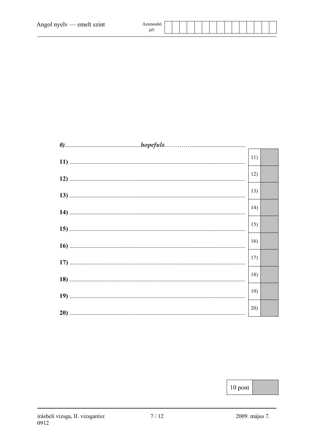| — emelt szint<br>Angol nyelv | Azonosito<br>$1^{\circ}$<br>l∼r. |  |  |  |  |  |  |  |  |  |  |  |  |  |  |  |
|------------------------------|----------------------------------|--|--|--|--|--|--|--|--|--|--|--|--|--|--|--|
|------------------------------|----------------------------------|--|--|--|--|--|--|--|--|--|--|--|--|--|--|--|

| 11) |  |
|-----|--|
| 12) |  |
| 13) |  |
| 14) |  |
| 15) |  |
| 16) |  |
| 17) |  |
| 18) |  |
| 19) |  |
| 20) |  |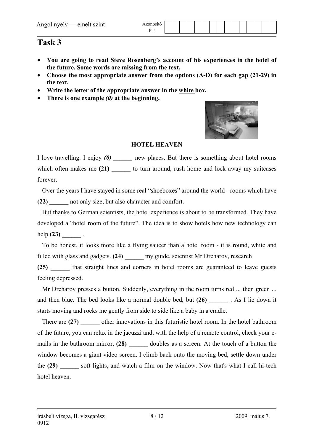| Azonosító       |  |  |  |  |  |  |  |  |
|-----------------|--|--|--|--|--|--|--|--|
| $\Delta$<br>vı. |  |  |  |  |  |  |  |  |
|                 |  |  |  |  |  |  |  |  |

- **You are going to read Steve Rosenberg's account of his experiences in the hotel of the future. Some words are missing from the text.**
- **Choose the most appropriate answer from the options (A-D) for each gap (21-29) in the text.**
- **Write the letter of the appropriate answer in the white box.**
- **There is one example** *(0)* **at the beginning.**



#### **HOTEL HEAVEN**

I love travelling. I enjoy (0) come new places. But there is something about hotel rooms which often makes me (21) boturn around, rush home and lock away my suitcases forever.

 Over the years I have stayed in some real "shoeboxes" around the world - rooms which have **(22) \_\_\_\_\_\_** not only size, but also character and comfort.

 But thanks to German scientists, the hotel experience is about to be transformed. They have developed a "hotel room of the future". The idea is to show hotels how new technology can help **(23) \_\_\_\_\_\_** .

 To be honest, it looks more like a flying saucer than a hotel room - it is round, white and filled with glass and gadgets. **(24) \_\_\_\_\_\_** my guide, scientist Mr Dreharov, research

**(25) \_\_\_\_\_\_** that straight lines and corners in hotel rooms are guaranteed to leave guests feeling depressed.

Mr Dreharov presses a button. Suddenly, everything in the room turns red ... then green ... and then blue. The bed looks like a normal double bed, but (26) As I lie down it starts moving and rocks me gently from side to side like a baby in a cradle.

There are (27) other innovations in this futuristic hotel room. In the hotel bathroom of the future, you can relax in the jacuzzi and, with the help of a remote control, check your emails in the bathroom mirror, (28) doubles as a screen. At the touch of a button the window becomes a giant video screen. I climb back onto the moving bed, settle down under the **(29) \_\_\_\_\_\_** soft lights, and watch a film on the window. Now that's what I call hi-tech hotel heaven.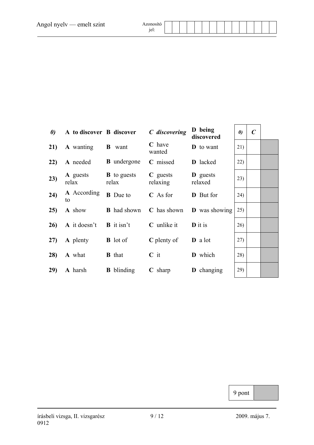| $rac{1}{2}$<br>Azonos<br>,,,,, |  |  |  |  |  |  |  |  |
|--------------------------------|--|--|--|--|--|--|--|--|
|                                |  |  |  |  |  |  |  |  |

|                       |                                       |                             |                        | D being                       |                       |               |  |
|-----------------------|---------------------------------------|-----------------------------|------------------------|-------------------------------|-----------------------|---------------|--|
| $\boldsymbol{\theta}$ |                                       | A to discover B discover    | C discovering          | discovered                    | $\boldsymbol{\theta}$ | $\mathcal{C}$ |  |
| 21)                   | A wanting                             | <b>B</b> want               | C have<br>wanted       | <b>D</b> to want              | 21)                   |               |  |
| 22)                   | A needed                              | <b>B</b> undergone          | C missed               | <b>D</b> lacked               | 22)                   |               |  |
| 23)                   | A guests<br>relax                     | <b>B</b> to guests<br>relax | $C$ guests<br>relaxing | <b>D</b> guests<br>relaxed    | 23)                   |               |  |
| 24)                   | A According<br>to                     | <b>B</b> Due to             | $C$ As for             | <b>D</b> But for              | 24)                   |               |  |
| 25)                   | A show                                | <b>B</b> had shown          |                        | $C$ has shown $D$ was showing | 25)                   |               |  |
| 26)                   | $\bf{A}$ it doesn't $\bf{B}$ it isn't |                             | $C$ unlike it          | $\mathbf{D}$ it is            | 26)                   |               |  |
| 27)                   | <b>A</b> plenty                       | <b>B</b> lot of             | <b>C</b> plenty of     | $\mathbf{D}$ a lot            | 27)                   |               |  |
| 28)                   | <b>A</b> what                         | <b>B</b> that               | $C$ it                 | D which                       | 28)                   |               |  |
| 29)                   | <b>A</b> harsh                        | <b>B</b> blinding           | $C$ sharp              | <b>D</b> changing             | 29)                   |               |  |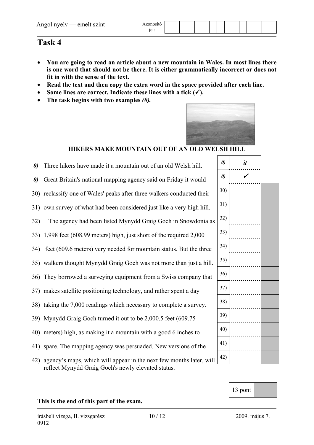| Azonosító  |  |  |  |  |  |  |  |  |
|------------|--|--|--|--|--|--|--|--|
| ٦Δ.<br>vı. |  |  |  |  |  |  |  |  |
|            |  |  |  |  |  |  |  |  |

 $\overline{1}$ 

- **You are going to read an article about a new mountain in Wales. In most lines there is one word that should not be there. It is either grammatically incorrect or does not fit in with the sense of the text.**
- **Read the text and then copy the extra word in the space provided after each line.**
- Some lines are correct. Indicate these lines with a tick  $(\checkmark)$ .
- **The task begins with two examples** *(0).*



 $\Gamma$  $\overline{\phantom{0}}$ 

#### **HIKERS MAKE MOUNTAIN OUT OF AN OLD WELSH HILL**

| $\boldsymbol{\theta}$ | Three hikers have made it a mountain out of an old Welsh hill.          | $\boldsymbol{\theta}$ | it |
|-----------------------|-------------------------------------------------------------------------|-----------------------|----|
| $\boldsymbol{\theta}$ | Great Britain's national mapping agency said on Friday it would         | $\boldsymbol{\theta}$ |    |
| 30)                   | reclassify one of Wales' peaks after three walkers conducted their      | 30)                   |    |
| 31)                   | own survey of what had been considered just like a very high hill.      | 31)                   |    |
| 32)                   | The agency had been listed Mynydd Graig Goch in Snowdonia as            | 32)                   |    |
| 33)                   | 1,998 feet (608.99 meters) high, just short of the required 2,000       | 33)                   |    |
| 34)                   | feet (609.6 meters) very needed for mountain status. But the three      | 34)                   |    |
| 35)                   | walkers thought Mynydd Graig Goch was not more than just a hill.        | 35)                   |    |
| 36)                   | They borrowed a surveying equipment from a Swiss company that           | 36)                   |    |
| 37)                   | makes satellite positioning technology, and rather spent a day          | 37)                   |    |
| 38)                   | taking the 7,000 readings which necessary to complete a survey.         | 38)                   |    |
|                       |                                                                         | 39)                   |    |
| 39)                   | Mynydd Graig Goch turned it out to be 2,000.5 feet (609.75              | 40)                   |    |
| 40)                   | meters) high, as making it a mountain with a good 6 inches to           |                       |    |
| 41)                   | spare. The mapping agency was persuaded. New versions of the            | 41)                   |    |
|                       | 42) agency's maps, which will appear in the next few months later, will | 42)                   |    |
|                       | reflect Mynydd Graig Goch's newly elevated status.                      |                       |    |

#### **This is the end of this part of the exam.**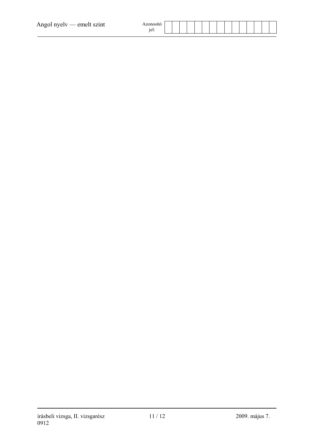| Angol nyelv — emelt szint | jel. |  |  |  |  |  |  |  |  |
|---------------------------|------|--|--|--|--|--|--|--|--|
|                           |      |  |  |  |  |  |  |  |  |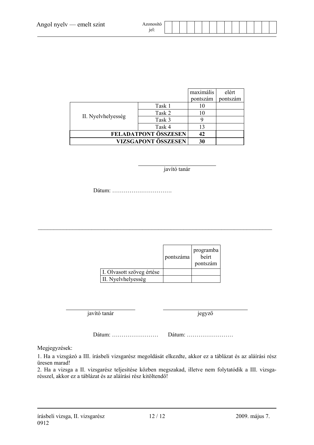| Azonosító |  |  |  |  |  |  |  |  |
|-----------|--|--|--|--|--|--|--|--|
|           |  |  |  |  |  |  |  |  |

|                     |                              | maximális | elért    |  |  |  |
|---------------------|------------------------------|-----------|----------|--|--|--|
|                     |                              | pontszám  | pontszám |  |  |  |
|                     |                              |           |          |  |  |  |
|                     | 10                           |           |          |  |  |  |
|                     | II. Nyelvhelyesség<br>Task 3 |           |          |  |  |  |
|                     | 13                           |           |          |  |  |  |
|                     | FELADATPONT ÖSSZESEN         | 42        |          |  |  |  |
| VIZSGAPONT ÖSSZESEN | 30                           |           |          |  |  |  |

javító tanár

Dátum: ………………………….

|                           | pontszáma | programba<br>beirt<br>pontszám |
|---------------------------|-----------|--------------------------------|
| I. Olvasott szöveg értése |           |                                |
| II. Nyelvhelyesség        |           |                                |

\_\_\_\_\_\_\_\_\_\_\_\_\_\_\_\_\_\_\_\_\_\_\_\_\_\_\_\_\_\_\_\_\_\_\_\_\_\_\_\_\_\_\_\_\_\_\_\_\_\_\_\_\_\_\_\_\_\_\_\_\_\_\_\_\_\_\_\_\_\_\_\_\_\_

javító tanár jegyző

Dátum: …………………… Dátum: ……………………

Megjegyzések:

1. Ha a vizsgázó a III. írásbeli vizsgarész megoldását elkezdte, akkor ez a táblázat és az aláírási rész üresen marad!

2. Ha a vizsga a II. vizsgarész teljesítése közben megszakad, illetve nem folytatódik a III. vizsgarésszel, akkor ez a táblázat és az aláírási rész kitöltendő!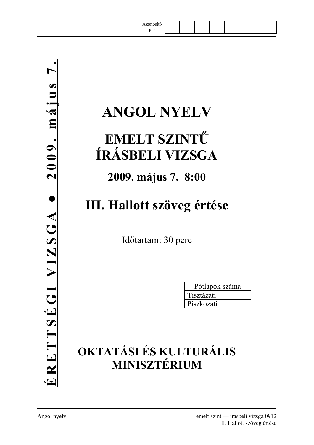| $1\Omega$<br>vı. |
|------------------|
|------------------|

# **ANGOL NYELV**

# **EMELT SZINTŰ ÍRÁSBELI VIZSGA**

### **2009. május 7. 8:00**

# **III. Hallott szöveg értése**

Időtartam: 30 perc

| Pótlapok száma |
|----------------|
| Tisztázati     |
| Piszkozati     |

## **OKTATÁSI ÉS KULTURÁLIS MINISZTÉRIUM**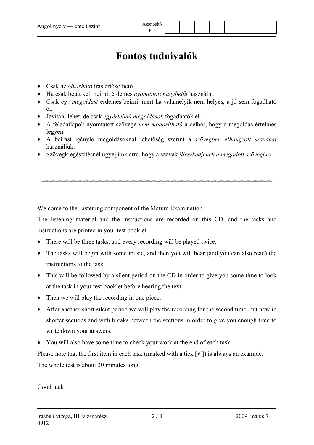### **Fontos tudnivalók**

- Csak az *olvasható* írás értékelhető.
- Ha csak betűt kell beírni, érdemes *nyomtatott nagybetűt* használni.
- Csak *egy megoldást* érdemes beírni, mert ha valamelyik nem helyes, a jó sem fogadható el.
- Javítani lehet, de csak *egyértelmű megoldások* fogadhatók el.
- A feladatlapok nyomtatott szövege *nem módosítható* a célból, hogy a megoldás értelmes legyen.
- A beírást igénylő megoldásoknál lehetőség szerint a *szövegben elhangzott szavakat* használjuk.
- Szövegkiegészítésnél ügyeljünk arra, hogy a szavak *illeszkedjenek a megadott szöveghez*.

Welcome to the Listening component of the Matura Examination.

The listening material and the instructions are recorded on this CD, and the tasks and instructions are printed in your test booklet.

- There will be three tasks, and every recording will be played twice.
- The tasks will begin with some music, and then you will hear (and you can also read) the instructions to the task.
- This will be followed by a silent period on the CD in order to give you some time to look at the task in your test booklet before hearing the text.
- Then we will play the recording in one piece.
- After another short silent period we will play the recording for the second time, but now in shorter sections and with breaks between the sections in order to give you enough time to write down your answers.
- You will also have some time to check your work at the end of each task.

Please note that the first item in each task (marked with a tick  $[\checkmark]$ ) is always an example.

The whole test is about 30 minutes long.

Good luck!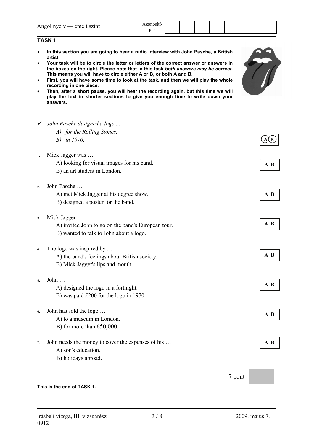

#### **TASK 1**

- **In this section you are going to hear a radio interview with John Pasche, a British artist.**
- **Your task will be to circle the letter or letters of the correct answer or answers in the boxes on the right. Please note that in this task** *both answers may be correct***. This means you will have to circle either A or B, or both A and B.**
- **First, you will have some time to look at the task, and then we will play the whole recording in one piece.**
- **Then, after a short pause, you will hear the recording again, but this time we will play the text in shorter sections to give you enough time to write down your answers.**

| ✓  | John Pasche designed a logo                        |        |     |
|----|----------------------------------------------------|--------|-----|
|    | A) for the Rolling Stones.                         |        |     |
|    | B) in 1970.                                        |        |     |
|    |                                                    |        |     |
| 1. | Mick Jagger was                                    |        |     |
|    | A) looking for visual images for his band.         |        | A B |
|    | B) an art student in London.                       |        |     |
|    |                                                    |        |     |
| 2. | John Pasche                                        |        |     |
|    | A) met Mick Jagger at his degree show.             |        | A B |
|    | B) designed a poster for the band.                 |        |     |
| 3. | Mick Jagger                                        |        |     |
|    | A) invited John to go on the band's European tour. |        | A B |
|    | B) wanted to talk to John about a logo.            |        |     |
|    |                                                    |        |     |
| 4. | The logo was inspired by                           |        |     |
|    | A) the band's feelings about British society.      |        | A B |
|    | B) Mick Jagger's lips and mouth.                   |        |     |
|    |                                                    |        |     |
| 5. | John $\ldots$                                      |        |     |
|    | A) designed the logo in a fortnight.               |        | A B |
|    | B) was paid £200 for the logo in 1970.             |        |     |
|    |                                                    |        |     |
| 6. | John has sold the logo                             |        | A B |
|    | A) to a museum in London.                          |        |     |
|    | B) for more than £50,000.                          |        |     |
| 7. | John needs the money to cover the expenses of his  |        | A B |
|    | A) son's education.                                |        |     |
|    | B) holidays abroad.                                |        |     |
|    |                                                    |        |     |
|    |                                                    |        |     |
|    |                                                    | 7 pont |     |
|    | This is the end of TASK 1.                         |        |     |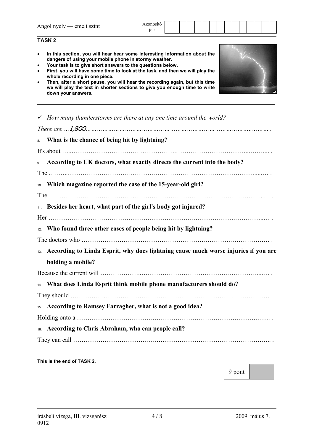| 1ei. | Angol<br>emelt szint<br>nyely | nositc |  |  |  |  |  |  |  |  |  |  |  |  |  |  |
|------|-------------------------------|--------|--|--|--|--|--|--|--|--|--|--|--|--|--|--|
|------|-------------------------------|--------|--|--|--|--|--|--|--|--|--|--|--|--|--|--|

• **In this section, you will hear hear some interesting information about the** 

• **First, you will have some time to look at the task, and then we will play the** 

**dangers of using your mobile phone in stormy weather.**  • **Your task is to give short answers to the questions below.** 

**whole recording in one piece.** 

| $\bullet$ | Then, after a short pause, you will hear the recording again, but this time<br>we will play the text in shorter sections to give you enough time to write<br>down your answers. |
|-----------|---------------------------------------------------------------------------------------------------------------------------------------------------------------------------------|
|           | $\checkmark$ How many thunderstorms are there at any one time around the world?                                                                                                 |
|           |                                                                                                                                                                                 |
| 8.        | What is the chance of being hit by lightning?                                                                                                                                   |
|           |                                                                                                                                                                                 |
| 9.        | According to UK doctors, what exactly directs the current into the body?                                                                                                        |
|           |                                                                                                                                                                                 |
|           | 10. Which magazine reported the case of the 15-year-old girl?                                                                                                                   |
|           |                                                                                                                                                                                 |
|           | 11. Besides her heart, what part of the girl's body got injured?                                                                                                                |
|           |                                                                                                                                                                                 |
|           | <sup>12</sup> Who found three other cases of people being hit by lightning?                                                                                                     |
|           |                                                                                                                                                                                 |
|           | 13. According to Linda Esprit, why does lightning cause much worse injuries if you are                                                                                          |
|           | holding a mobile?                                                                                                                                                               |
|           |                                                                                                                                                                                 |
|           | 14. What does Linda Esprit think mobile phone manufacturers should do?                                                                                                          |
|           |                                                                                                                                                                                 |
|           | 15. According to Ramsey Farragher, what is not a good idea?                                                                                                                     |
|           |                                                                                                                                                                                 |
|           | 16. According to Chris Abraham, who can people call?                                                                                                                            |
|           |                                                                                                                                                                                 |
|           |                                                                                                                                                                                 |

#### **This is the end of TASK 2.**

**TASK 2**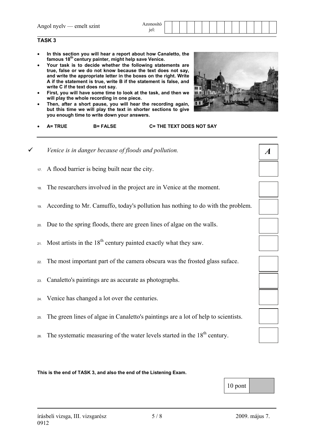

#### **TASK 3**

- **In this section you will hear a report about how Canaletto, the famous 18th century painter, might help save Venice.**
- **Your task is to decide whether the following statements are true, false or we do not know because the text does not say, and write the appropriate letter in the boxes on the right. Write A if the statement is true, write B if the statement is false, and write C if the text does not say.**
- **First, you will have some time to look at the task, and then we will play the whole recording in one piece.**
- **Then, after a short pause, you will hear the recording again, but this time we will play the text in shorter sections to give you enough time to write down your answers.**



- **A= TRUE B= FALSE C= THE TEXT DOES NOT SAY**
- 9 *Venice is in danger because of floods and pollution.*  17. A flood barrier is being built near the city. 18. The researchers involved in the project are in Venice at the moment. 19. According to Mr. Camuffo, today's pollution has nothing to do with the problem. 20. Due to the spring floods, there are green lines of algae on the walls. 21. Most artists in the  $18<sup>th</sup>$  century painted exactly what they saw. 22. The most important part of the camera obscura was the frosted glass suface. 23. Canaletto's paintings are as accurate as photographs. 24. Venice has changed a lot over the centuries. 25. The green lines of algae in Canaletto's paintings are a lot of help to scientists. 26. The systematic measuring of the water levels started in the  $18<sup>th</sup>$  century. **This is the end of TASK 3, and also the end of the Listening Exam.**  *A*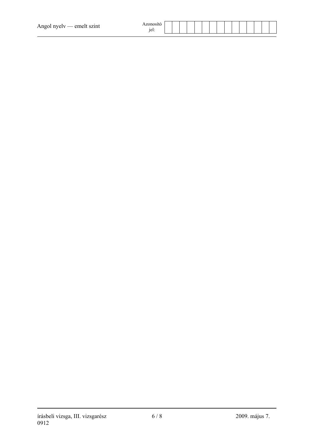| onosito<br>Angol nyelv<br>emelt szint<br>$\overline{\phantom{a}}$<br>el. |  |  |  |  |  |  |  |  |  |  |  |  |  |  |  |  |
|--------------------------------------------------------------------------|--|--|--|--|--|--|--|--|--|--|--|--|--|--|--|--|
|--------------------------------------------------------------------------|--|--|--|--|--|--|--|--|--|--|--|--|--|--|--|--|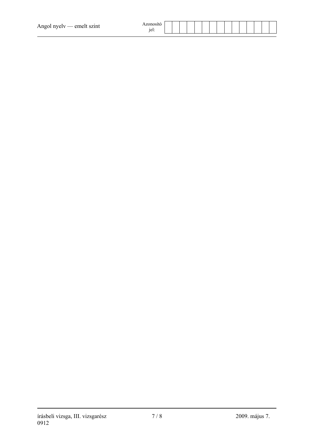| onosito<br>Angol nyelv<br>emelt szint<br>$\overline{\phantom{a}}$<br>el. |  |  |  |  |  |  |  |  |  |  |  |  |  |  |  |  |
|--------------------------------------------------------------------------|--|--|--|--|--|--|--|--|--|--|--|--|--|--|--|--|
|--------------------------------------------------------------------------|--|--|--|--|--|--|--|--|--|--|--|--|--|--|--|--|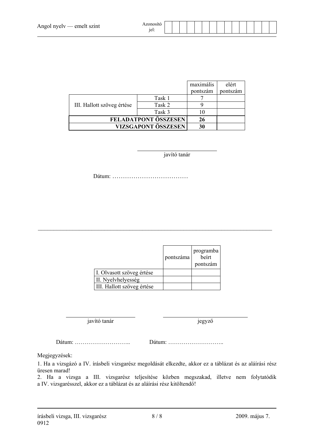| AZONOSILO | $\mathbf{r}$ . $\mathbf{r}$<br>، zonosí |  |  |  |  |  |  |  |  |  |  |  |  |  |  |  |
|-----------|-----------------------------------------|--|--|--|--|--|--|--|--|--|--|--|--|--|--|--|
|-----------|-----------------------------------------|--|--|--|--|--|--|--|--|--|--|--|--|--|--|--|

|                            |                             | maximális | elért    |
|----------------------------|-----------------------------|-----------|----------|
|                            |                             | pontszám  | pontszám |
|                            | Task 1                      |           |          |
| III. Hallott szöveg értése | Task 2                      |           |          |
|                            | Task 3                      |           |          |
|                            | <b>FELADATPONT ÖSSZESEN</b> | 26        |          |
|                            | VIZSGAPONT ÖSSZESEN         | 30        |          |

javító tanár

Dátum: ………………………………

|                            | pontszáma | programba<br>beirt<br>pontszám |
|----------------------------|-----------|--------------------------------|
| I. Olvasott szöveg értése  |           |                                |
| II. Nyelvhelyesség         |           |                                |
| III. Hallott szöveg értése |           |                                |

 $\mathcal{L}_\text{max} = \frac{1}{2} \sum_{i=1}^n \mathcal{L}_\text{max}(\mathbf{z}_i - \mathbf{z}_i)$ 

javító tanár jegyző

Dátum: ……………………….. Dátum: ………………………..

Megjegyzések:

1. Ha a vizsgázó a IV. írásbeli vizsgarész megoldását elkezdte, akkor ez a táblázat és az aláírási rész üresen marad!

2. Ha a vizsga a III. vizsgarész teljesítése közben megszakad, illetve nem folytatódik a IV. vizsgarésszel, akkor ez a táblázat és az aláírási rész kitöltendő!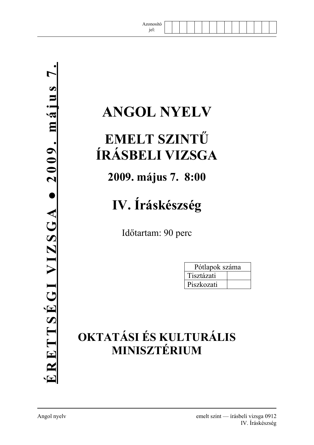| Azonosító<br>$\cdot$<br>$\mathbf{v}$ . |
|----------------------------------------|
|----------------------------------------|

# **ANGOL NYELV**

# **EMELT SZINTŰ ÍRÁSBELI VIZSGA**

## **2009. május 7. 8:00**

# **IV. Íráskészség**

Időtartam: 90 perc

| Pótlapok száma |
|----------------|
| Tisztázati     |
| Piszkozati     |

## **OKTATÁSI ÉS KULTURÁLIS MINISZTÉRIUM**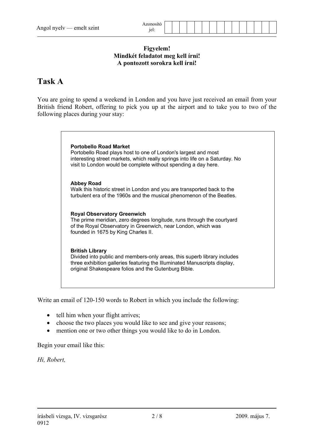#### **Figyelem! Mindkét feladatot meg kell írni! A pontozott sorokra kell írni!**

### **Task A**

You are going to spend a weekend in London and you have just received an email from your British friend Robert, offering to pick you up at the airport and to take you to two of the following places during your stay:

| Portobello Road Market<br>Portobello Road plays host to one of London's largest and most<br>interesting street markets, which really springs into life on a Saturday. No<br>visit to London would be complete without spending a day here. |
|--------------------------------------------------------------------------------------------------------------------------------------------------------------------------------------------------------------------------------------------|
| Abbey Road<br>Walk this historic street in London and you are transported back to the<br>turbulent era of the 1960s and the musical phenomenon of the Beatles.                                                                             |
| <b>Royal Observatory Greenwich</b><br>The prime meridian, zero degrees longitude, runs through the courtyard<br>of the Royal Observatory in Greenwich, near London, which was<br>founded in 1675 by King Charles II.                       |
| <b>British Library</b><br>Divided into public and members-only areas, this superb library includes<br>three exhibition galleries featuring the Illuminated Manuscripts display,<br>original Shakespeare folios and the Gutenburg Bible.    |
|                                                                                                                                                                                                                                            |

Write an email of 120-150 words to Robert in which you include the following:

- tell him when your flight arrives;
- choose the two places you would like to see and give your reasons;
- mention one or two other things you would like to do in London.

Begin your email like this:

*Hi, Robert,*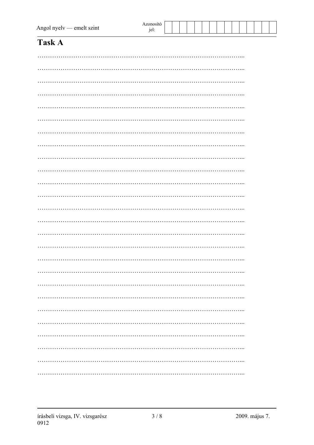| Angol nyelv — emelt szint | $\!$<br>jel: |  |  |  |  |  |  |  |
|---------------------------|--------------|--|--|--|--|--|--|--|
| Task A                    |              |  |  |  |  |  |  |  |
|                           |              |  |  |  |  |  |  |  |
|                           |              |  |  |  |  |  |  |  |
|                           |              |  |  |  |  |  |  |  |
|                           |              |  |  |  |  |  |  |  |
|                           |              |  |  |  |  |  |  |  |
|                           |              |  |  |  |  |  |  |  |
|                           |              |  |  |  |  |  |  |  |
|                           |              |  |  |  |  |  |  |  |
|                           |              |  |  |  |  |  |  |  |
|                           |              |  |  |  |  |  |  |  |
|                           |              |  |  |  |  |  |  |  |
|                           |              |  |  |  |  |  |  |  |
|                           |              |  |  |  |  |  |  |  |
|                           |              |  |  |  |  |  |  |  |
|                           |              |  |  |  |  |  |  |  |
|                           |              |  |  |  |  |  |  |  |
|                           |              |  |  |  |  |  |  |  |
|                           |              |  |  |  |  |  |  |  |
|                           |              |  |  |  |  |  |  |  |
|                           |              |  |  |  |  |  |  |  |
|                           |              |  |  |  |  |  |  |  |
|                           |              |  |  |  |  |  |  |  |
|                           |              |  |  |  |  |  |  |  |
|                           |              |  |  |  |  |  |  |  |
|                           |              |  |  |  |  |  |  |  |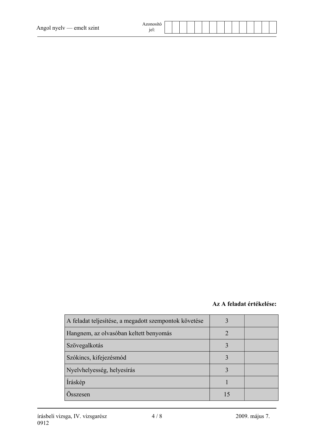| . .<br>ាnosit∟<br>szint<br>eme<br>Angol<br>nvely<br>$\overline{\phantom{a}}$<br><sub>1el</sub> |  |  |  |  |  |  |  |  |  |  |  |  |  |  |  |  |
|------------------------------------------------------------------------------------------------|--|--|--|--|--|--|--|--|--|--|--|--|--|--|--|--|
|------------------------------------------------------------------------------------------------|--|--|--|--|--|--|--|--|--|--|--|--|--|--|--|--|

#### **Az A feladat értékelése:**

| A feladat teljesítése, a megadott szempontok követése |   |  |
|-------------------------------------------------------|---|--|
| Hangnem, az olvasóban keltett benyomás                |   |  |
| Szövegalkotás                                         |   |  |
| Szókincs, kifejezésmód                                | 3 |  |
| Nyelvhelyesség, helyesírás                            |   |  |
| Íráskép                                               |   |  |
| sszesen                                               |   |  |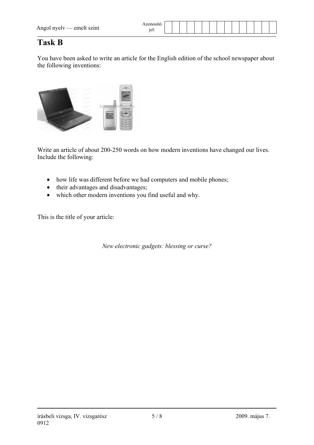| Angol nyelv — emelt szint<br>$1\bigtriangleup$<br>$\mathbf{u}$ |
|----------------------------------------------------------------|
|----------------------------------------------------------------|

### **Task B**

You have been asked to write an article for the English edition of the school newspaper about the following inventions:



Write an article of about 200-250 words on how modern inventions have changed our lives. Include the following:

- how life was different before we had computers and mobile phones;
- their advantages and disadvantages;
- which other modern inventions you find useful and why.

This is the title of your article:

*New electronic gadgets: blessing or curse?*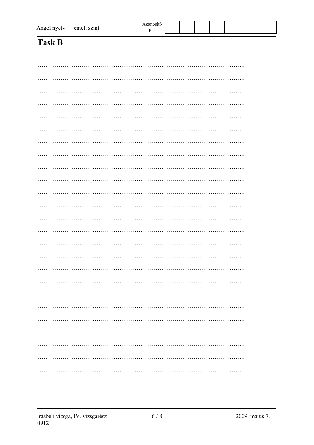| $A$ zonos $(44)$<br><b>TROTIONIC</b> |  |  |  |  |  |  |  |  |
|--------------------------------------|--|--|--|--|--|--|--|--|
|                                      |  |  |  |  |  |  |  |  |

### Task B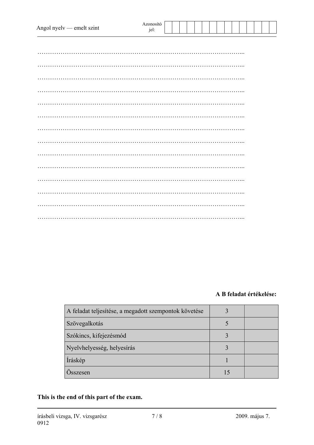| Angol nyelv — emelt szint | $\!$<br>jel: |  |  |  |  |  |  |  |  |
|---------------------------|--------------|--|--|--|--|--|--|--|--|
|                           |              |  |  |  |  |  |  |  |  |
|                           |              |  |  |  |  |  |  |  |  |
|                           |              |  |  |  |  |  |  |  |  |
|                           |              |  |  |  |  |  |  |  |  |
|                           |              |  |  |  |  |  |  |  |  |
|                           |              |  |  |  |  |  |  |  |  |
|                           |              |  |  |  |  |  |  |  |  |
|                           |              |  |  |  |  |  |  |  |  |
|                           |              |  |  |  |  |  |  |  |  |
|                           |              |  |  |  |  |  |  |  |  |
|                           |              |  |  |  |  |  |  |  |  |
|                           |              |  |  |  |  |  |  |  |  |
|                           |              |  |  |  |  |  |  |  |  |
|                           |              |  |  |  |  |  |  |  |  |
|                           |              |  |  |  |  |  |  |  |  |

#### **A B feladat értékelése:**

| A feladat teljesítése, a megadott szempontok követése |  |
|-------------------------------------------------------|--|
| Szövegalkotás                                         |  |
| Szókincs, kifejezésmód                                |  |
| Nyelvhelyesség, helyesírás                            |  |
| Íráskép                                               |  |
| <b>D</b> sszesen                                      |  |

### **This is the end of this part of the exam.**